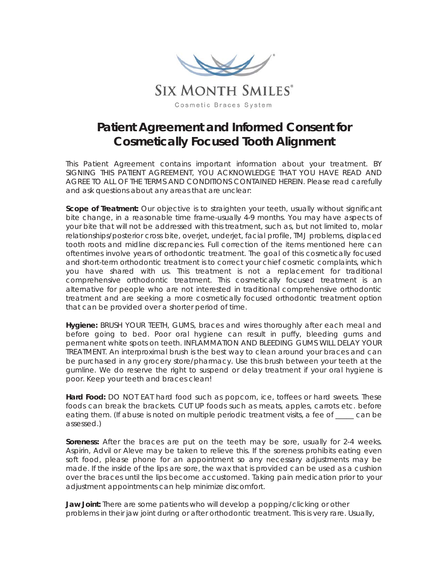

## **Patient Agreement and Informed Consent for Cosmetically Focused Tooth Alignment**

This Patient Agreement contains important information about your treatment. BY SIGNING THIS PATIENT AGREEMENT, YOU ACKNOWLEDGE THAT YOU HAVE READ AND AGREE TO ALL OF THE TERMS AND CONDITIONS CONTAINED HEREIN. Please read carefully and ask questions about any areas that are unclear:

**Scope of Treatment:** Our objective is to straighten your teeth, usually without significant bite change, in a reasonable time frame-usually 4-9 months. You may have aspects of your bite that will not be addressed with this treatment, such as, but not limited to, molar relationships/posterior cross bite, overjet, underjet, facial profile, TMJ problems, displaced tooth roots and midline discrepancies. Full correction of the items mentioned here can oftentimes involve years of orthodontic treatment. The goal of this cosmetically focused and short-term orthodontic treatment is to correct your chief cosmetic complaints, which you have shared with us. This treatment is not a replacement for traditional comprehensive orthodontic treatment. This cosmetically focused treatment is an alternative for people who are not interested in traditional comprehensive orthodontic treatment and are seeking a more cosmetically focused orthodontic treatment option that can be provided over a shorter period of time.

**Hygiene:** BRUSH YOUR TEETH, GUMS, braces and wires thoroughly after each meal and before going to bed. Poor oral hygiene can result in puffy, bleeding gums and permanent white spots on teeth. INFLAMMATION AND BLEEDING GUMS WILL DELAY YOUR TREATMENT. An interproximal brush is the best way to clean around your braces and can be purchased in any grocery store/pharmacy. Use this brush between your teeth at the gumline. We do reserve the right to suspend or delay treatment if your oral hygiene is poor. Keep your teeth and braces clean!

**Hard Food:** DO NOT EAT hard food such as popcorn, ice, toffees or hard sweets. These foods can break the brackets. CUT UP foods such as meats, apples, carrots etc. before eating them. (If abuse is noted on multiple periodic treatment visits, a fee of can be assessed.)

**Soreness:** After the braces are put on the teeth may be sore, usually for 2-4 weeks. Aspirin, Advil or Aleve may be taken to relieve this. If the soreness prohibits eating even soft food, please phone for an appointment so any necessary adjustments may be made. If the inside of the lips are sore, the wax that is provided can be used as a cushion over the braces until the lips become accustomed. Taking pain medication prior to your adjustment appointments can help minimize discomfort.

**Jaw Joint:** There are some patients who will develop a popping/clicking or other problems in their jaw joint during or after orthodontic treatment. This is very rare. Usually,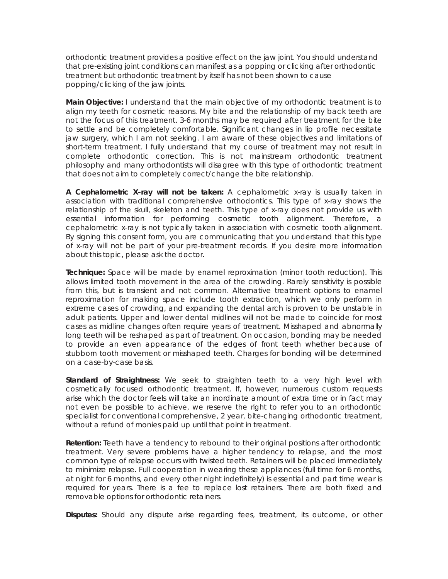orthodontic treatment provides a positive effect on the jaw joint. You should understand that pre-existing joint conditions can manifest as a popping or clicking after orthodontic treatment but orthodontic treatment by itself has not been shown to cause popping/clicking of the jaw joints.

**Main Objective:** I understand that the main objective of my orthodontic treatment is to align my teeth for cosmetic reasons. My bite and the relationship of my back teeth are not the focus of this treatment. 3-6 months may be required after treatment for the bite to settle and be completely comfortable. Significant changes in lip profile necessitate jaw surgery, which I am not seeking. I am aware of these objectives and limitations of short-term treatment. I fully understand that my course of treatment may not result in complete orthodontic correction. This is not mainstream orthodontic treatment philosophy and many orthodontists will disagree with this type of orthodontic treatment that does not aim to completely correct/change the bite relationship.

**A Cephalometric X-ray will not be taken:** A cephalometric x-ray is usually taken in association with traditional comprehensive orthodontics. This type of x-ray shows the relationship of the skull, skeleton and teeth. This type of x-ray does not provide us with essential information for performing cosmetic tooth alignment. Therefore, a cephalometric x-ray is not typically taken in association with cosmetic tooth alignment. By signing this consent form, you are communicating that you understand that this type of x-ray will not be part of your pre-treatment records. If you desire more information about this topic, please ask the doctor.

**Technique:** Space will be made by enamel reproximation (minor tooth reduction). This allows limited tooth movement in the area of the crowding. Rarely sensitivity is possible from this, but is transient and not common. Alternative treatment options to enamel reproximation for making space include tooth extraction, which we only perform in extreme cases of crowding, and expanding the dental arch is proven to be unstable in adult patients. Upper and lower dental midlines will not be made to coincide for most cases as midline changes often require years of treatment. Misshaped and abnormally long teeth will be reshaped as part of treatment. On occasion, bonding may be needed to provide an even appearance of the edges of front teeth whether because of stubborn tooth movement or misshaped teeth. Charges for bonding will be determined on a case-by-case basis.

**Standard of Straightness:** We seek to straighten teeth to a very high level with cosmetically focused orthodontic treatment. If, however, numerous custom requests arise which the doctor feels will take an inordinate amount of extra time or in fact may not even be possible to achieve, we reserve the right to refer you to an orthodontic specialist for conventional comprehensive, 2 year, bite-changing orthodontic treatment, without a refund of monies paid up until that point in treatment.

**Retention:** Teeth have a tendency to rebound to their original positions after orthodontic treatment. Very severe problems have a higher tendency to relapse, and the most common type of relapse occurs with twisted teeth. Retainers will be placed immediately to minimize relapse. Full cooperation in wearing these appliances (full time for 6 months, at night for 6 months, and every other night indefinitely) is essential and part time wear is required for years. There is a fee to replace lost retainers. There are both fixed and removable options for orthodontic retainers.

**Disputes:** Should any dispute arise regarding fees, treatment, its outcome, or other